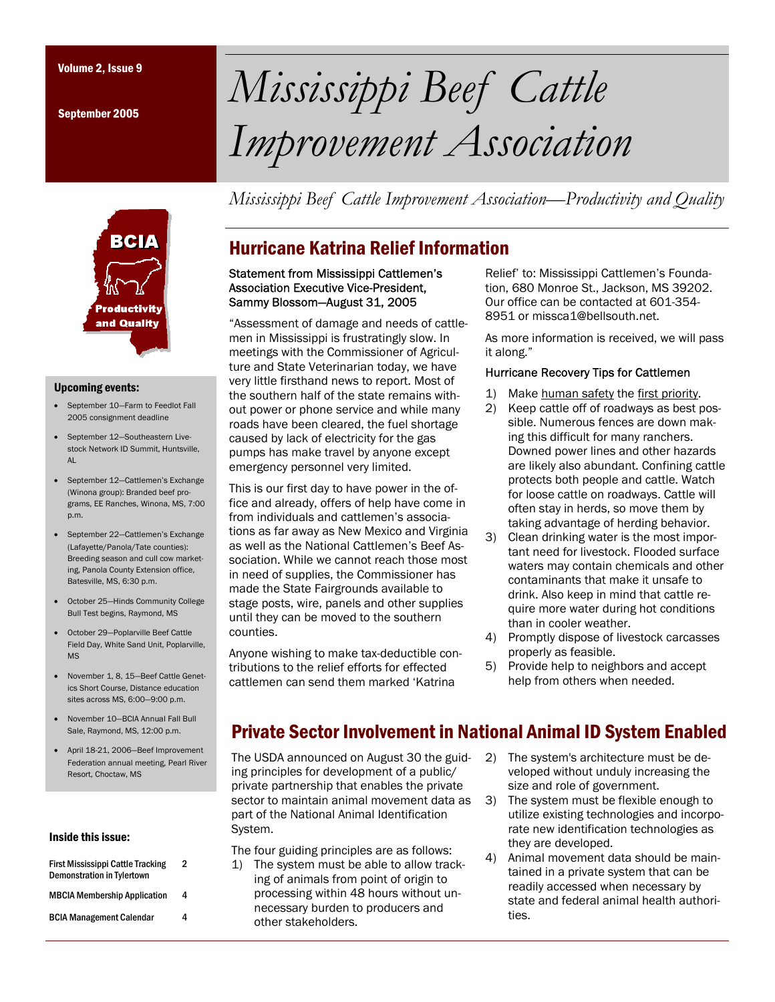September 2005

# Volume 2, Issue 9 *Mississippi Beef Cattle Improvement Association*

*Mississippi Beef Cattle Improvement Association—Productivity and Quality* 



#### Upcoming events:

- September 10—Farm to Feedlot Fall 2005 consignment deadline
- September 12-Southeastern Livestock Network ID Summit, Huntsville, AL
- September 12—Cattlemen's Exchange (Winona group): Branded beef programs, EE Ranches, Winona, MS, 7:00 p.m.
- September 22-Cattlemen's Exchange (Lafayette/Panola/Tate counties): Breeding season and cull cow marketing, Panola County Extension office, Batesville, MS, 6:30 p.m.
- October 25—Hinds Community College Bull Test begins, Raymond, MS
- October 29—Poplarville Beef Cattle Field Day, White Sand Unit, Poplarville, MS
- November 1, 8, 15—Beef Cattle Genetics Short Course, Distance education sites across MS, 6:00—9:00 p.m.
- November 10—BCIA Annual Fall Bull Sale, Raymond, MS, 12:00 p.m.
- April 18-21, 2006—Beef Improvement Federation annual meeting, Pearl River Resort, Choctaw, MS

#### Inside this issue:

| <b>First Mississippi Cattle Tracking</b><br><b>Demonstration in Tylertown</b> | 2 |
|-------------------------------------------------------------------------------|---|
| <b>MBCIA Membership Application</b>                                           | 4 |
| <b>BCIA Management Calendar</b>                                               | 4 |

## Hurricane Katrina Relief Information

#### Statement from Mississippi Cattlemen's Association Executive Vice-President, Sammy Blossom—August 31, 2005

"Assessment of damage and needs of cattlemen in Mississippi is frustratingly slow. In meetings with the Commissioner of Agriculture and State Veterinarian today, we have very little firsthand news to report. Most of the southern half of the state remains without power or phone service and while many roads have been cleared, the fuel shortage caused by lack of electricity for the gas pumps has make travel by anyone except emergency personnel very limited.

This is our first day to have power in the office and already, offers of help have come in from individuals and cattlemen's associations as far away as New Mexico and Virginia as well as the National Cattlemen's Beef Association. While we cannot reach those most in need of supplies, the Commissioner has made the State Fairgrounds available to stage posts, wire, panels and other supplies until they can be moved to the southern counties.

Anyone wishing to make tax-deductible contributions to the relief efforts for effected cattlemen can send them marked 'Katrina

Relief' to: Mississippi Cattlemen's Foundation, 680 Monroe St., Jackson, MS 39202. Our office can be contacted at 601-354- 8951 or missca1@bellsouth.net.

As more information is received, we will pass it along."

## Hurricane Recovery Tips for Cattlemen

- 1) Make human safety the first priority.
- 2) Keep cattle off of roadways as best possible. Numerous fences are down making this difficult for many ranchers. Downed power lines and other hazards are likely also abundant. Confining cattle protects both people and cattle. Watch for loose cattle on roadways. Cattle will often stay in herds, so move them by taking advantage of herding behavior.
- 3) Clean drinking water is the most important need for livestock. Flooded surface waters may contain chemicals and other contaminants that make it unsafe to drink. Also keep in mind that cattle require more water during hot conditions than in cooler weather.
- 4) Promptly dispose of livestock carcasses properly as feasible.
- 5) Provide help to neighbors and accept help from others when needed.

## Private Sector Involvement in National Animal ID System Enabled

The USDA announced on August 30 the guiding principles for development of a public/ private partnership that enables the private sector to maintain animal movement data as part of the National Animal Identification System.

The four guiding principles are as follows:

- 1) The system must be able to allow tracking of animals from point of origin to processing within 48 hours without unnecessary burden to producers and other stakeholders.
- 2) The system's architecture must be developed without unduly increasing the size and role of government.
- 3) The system must be flexible enough to utilize existing technologies and incorporate new identification technologies as they are developed.
- 4) Animal movement data should be maintained in a private system that can be readily accessed when necessary by state and federal animal health authorities.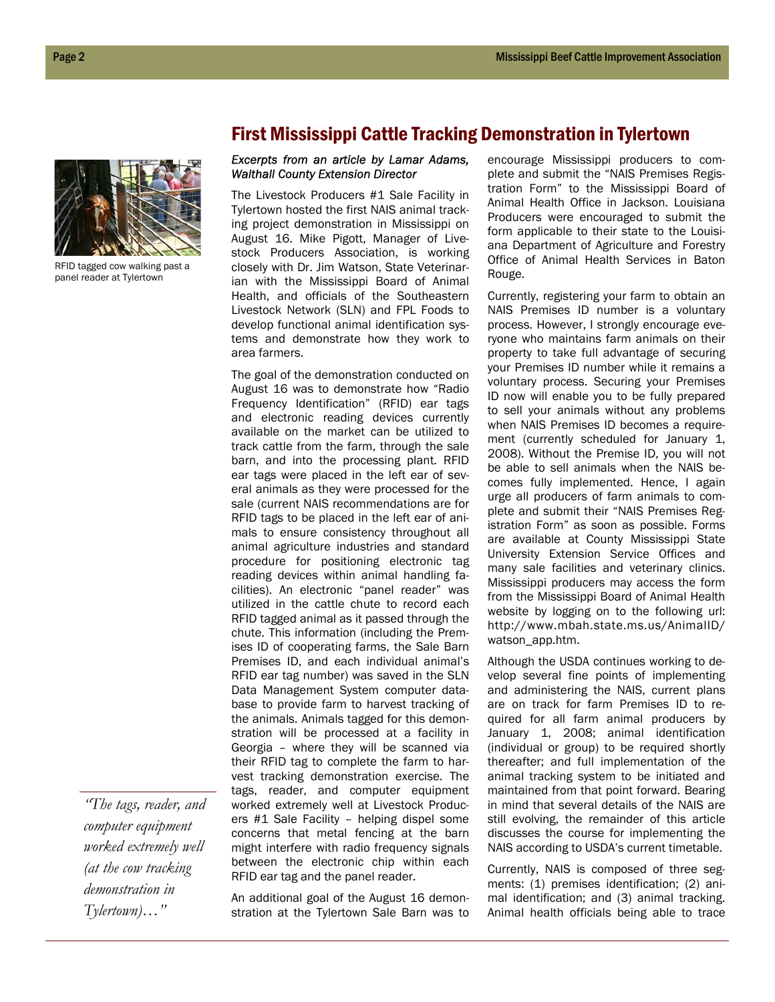

RFID tagged cow walking past a panel reader at Tylertown

*"The tags, reader, and computer equipment worked extremely well (at the cow tracking demonstration in Tylertown)…"* 

## First Mississippi Cattle Tracking Demonstration in Tylertown

## *Excerpts from an article by Lamar Adams, Walthall County Extension Director*

The Livestock Producers #1 Sale Facility in Tylertown hosted the first NAIS animal tracking project demonstration in Mississippi on August 16. Mike Pigott, Manager of Livestock Producers Association, is working closely with Dr. Jim Watson, State Veterinarian with the Mississippi Board of Animal Health, and officials of the Southeastern Livestock Network (SLN) and FPL Foods to develop functional animal identification systems and demonstrate how they work to area farmers.

The goal of the demonstration conducted on August 16 was to demonstrate how "Radio Frequency Identification" (RFID) ear tags and electronic reading devices currently available on the market can be utilized to track cattle from the farm, through the sale barn, and into the processing plant. RFID ear tags were placed in the left ear of several animals as they were processed for the sale (current NAIS recommendations are for RFID tags to be placed in the left ear of animals to ensure consistency throughout all animal agriculture industries and standard procedure for positioning electronic tag reading devices within animal handling facilities). An electronic "panel reader" was utilized in the cattle chute to record each RFID tagged animal as it passed through the chute. This information (including the Premises ID of cooperating farms, the Sale Barn Premises ID, and each individual animal's RFID ear tag number) was saved in the SLN Data Management System computer database to provide farm to harvest tracking of the animals. Animals tagged for this demonstration will be processed at a facility in Georgia – where they will be scanned via their RFID tag to complete the farm to harvest tracking demonstration exercise. The tags, reader, and computer equipment worked extremely well at Livestock Producers #1 Sale Facility – helping dispel some concerns that metal fencing at the barn might interfere with radio frequency signals between the electronic chip within each RFID ear tag and the panel reader.

An additional goal of the August 16 demonstration at the Tylertown Sale Barn was to

encourage Mississippi producers to complete and submit the "NAIS Premises Registration Form" to the Mississippi Board of Animal Health Office in Jackson. Louisiana Producers were encouraged to submit the form applicable to their state to the Louisiana Department of Agriculture and Forestry Office of Animal Health Services in Baton Rouge.

Currently, registering your farm to obtain an NAIS Premises ID number is a voluntary process. However, I strongly encourage everyone who maintains farm animals on their property to take full advantage of securing your Premises ID number while it remains a voluntary process. Securing your Premises ID now will enable you to be fully prepared to sell your animals without any problems when NAIS Premises ID becomes a requirement (currently scheduled for January 1, 2008). Without the Premise ID, you will not be able to sell animals when the NAIS becomes fully implemented. Hence, I again urge all producers of farm animals to complete and submit their "NAIS Premises Registration Form" as soon as possible. Forms are available at County Mississippi State University Extension Service Offices and many sale facilities and veterinary clinics. Mississippi producers may access the form from the Mississippi Board of Animal Health website by logging on to the following url: http://www.mbah.state.ms.us/AnimalID/ watson\_app.htm.

Although the USDA continues working to develop several fine points of implementing and administering the NAIS, current plans are on track for farm Premises ID to required for all farm animal producers by January 1, 2008; animal identification (individual or group) to be required shortly thereafter; and full implementation of the animal tracking system to be initiated and maintained from that point forward. Bearing in mind that several details of the NAIS are still evolving, the remainder of this article discusses the course for implementing the NAIS according to USDA's current timetable.

Currently, NAIS is composed of three segments: (1) premises identification; (2) animal identification; and (3) animal tracking. Animal health officials being able to trace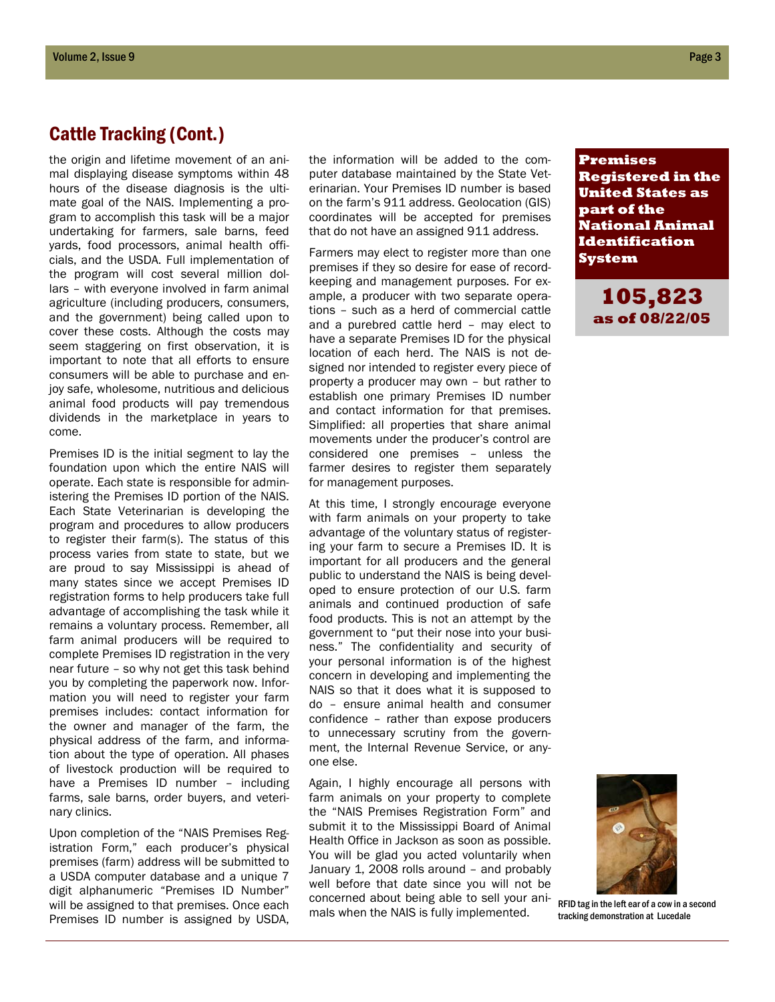## Cattle Tracking (Cont.)

the origin and lifetime movement of an animal displaying disease symptoms within 48 hours of the disease diagnosis is the ultimate goal of the NAIS. Implementing a program to accomplish this task will be a major undertaking for farmers, sale barns, feed yards, food processors, animal health officials, and the USDA. Full implementation of the program will cost several million dollars – with everyone involved in farm animal agriculture (including producers, consumers, and the government) being called upon to cover these costs. Although the costs may seem staggering on first observation, it is important to note that all efforts to ensure consumers will be able to purchase and enjoy safe, wholesome, nutritious and delicious animal food products will pay tremendous dividends in the marketplace in years to come.

Premises ID is the initial segment to lay the foundation upon which the entire NAIS will operate. Each state is responsible for administering the Premises ID portion of the NAIS. Each State Veterinarian is developing the program and procedures to allow producers to register their farm(s). The status of this process varies from state to state, but we are proud to say Mississippi is ahead of many states since we accept Premises ID registration forms to help producers take full advantage of accomplishing the task while it remains a voluntary process. Remember, all farm animal producers will be required to complete Premises ID registration in the very near future – so why not get this task behind you by completing the paperwork now. Information you will need to register your farm premises includes: contact information for the owner and manager of the farm, the physical address of the farm, and information about the type of operation. All phases of livestock production will be required to have a Premises ID number – including farms, sale barns, order buyers, and veterinary clinics.

Upon completion of the "NAIS Premises Registration Form," each producer's physical premises (farm) address will be submitted to a USDA computer database and a unique 7 digit alphanumeric "Premises ID Number" will be assigned to that premises. Once each Premises ID number is assigned by USDA,

the information will be added to the computer database maintained by the State Veterinarian. Your Premises ID number is based on the farm's 911 address. Geolocation (GIS) coordinates will be accepted for premises that do not have an assigned 911 address.

Farmers may elect to register more than one premises if they so desire for ease of recordkeeping and management purposes. For example, a producer with two separate operations – such as a herd of commercial cattle and a purebred cattle herd – may elect to have a separate Premises ID for the physical location of each herd. The NAIS is not designed nor intended to register every piece of property a producer may own – but rather to establish one primary Premises ID number and contact information for that premises. Simplified: all properties that share animal movements under the producer's control are considered one premises – unless the farmer desires to register them separately for management purposes.

At this time, I strongly encourage everyone with farm animals on your property to take advantage of the voluntary status of registering your farm to secure a Premises ID. It is important for all producers and the general public to understand the NAIS is being developed to ensure protection of our U.S. farm animals and continued production of safe food products. This is not an attempt by the government to "put their nose into your business." The confidentiality and security of your personal information is of the highest concern in developing and implementing the NAIS so that it does what it is supposed to do – ensure animal health and consumer confidence – rather than expose producers to unnecessary scrutiny from the government, the Internal Revenue Service, or anyone else.

Again, I highly encourage all persons with farm animals on your property to complete the "NAIS Premises Registration Form" and submit it to the Mississippi Board of Animal Health Office in Jackson as soon as possible. You will be glad you acted voluntarily when January 1, 2008 rolls around – and probably well before that date since you will not be concerned about being able to sell your animals when the NAIS is fully implemented.

**Premises Registered in the United States as part of the National Animal Identification System** 

> **105,823 as of 08/22/05**



RFID tag in the left ear of a cow in a second tracking demonstration at Lucedale